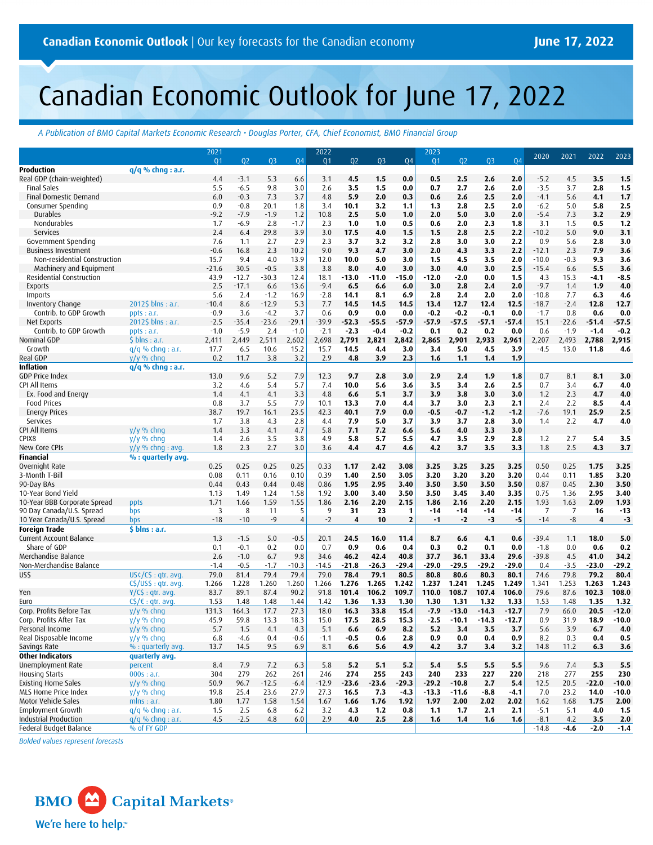# Canadian Economic Outlook for June 17, 2022

*A Publication of BMO Capital Markets Economic Research • Douglas Porter, CFA, Chief Economist, BMO Financial Group*

|                              |                          | 2021            |             |             |                | 2022            |             |                |                         | 2023           |                |         |            | 2020         | 2021            | 2022            | 2023    |
|------------------------------|--------------------------|-----------------|-------------|-------------|----------------|-----------------|-------------|----------------|-------------------------|----------------|----------------|---------|------------|--------------|-----------------|-----------------|---------|
|                              |                          | 01              | 02          | 03          | <b>Q4</b>      | 01              | 02          | Q <sub>3</sub> | <b>Q4</b>               | Q <sub>1</sub> | Q <sub>2</sub> | 03      | 04         |              |                 |                 |         |
| <b>Production</b>            | $q/q$ % chnq : a.r.      |                 |             |             |                |                 |             |                |                         |                |                |         |            |              |                 |                 |         |
| Real GDP (chain-weighted)    |                          | 4.4             | $-3.1$      | 5.3         | 6.6            | 3.1             | 4.5         | 1.5            | 0.0                     | 0.5            | 2.5            | 2.6     | 2.0        | $-5.2$       | 4.5             | 3.5             | 1.5     |
| <b>Final Sales</b>           |                          | 5.5             | $-6.5$      | 9.8         | 3.0            | 2.6             | 3.5         | 1.5            | 0.0                     | 0.7            | 2.7            | 2.6     | 2.0        | $-3.5$       | 3.7             | 2.8             | 1.5     |
| Final Domestic Demand        |                          | 6.0             | $-0.3$      | 7.3         | 3.7            | 4.8             | 5.9         | 2.0            | 0.3                     | 0.6            | 2.6            | 2.5     | 2.0        | $-4.1$       | 5.6             | 4.1             | 1.7     |
| Consumer Spending            |                          | 0.9             | $-0.8$      | 20.1        | 1.8            | 3.4             | 10.1        | 3.2            | 1.1                     | 1.3            | 2.8            | 2.5     | 2.0        | $-6.2$       | 5.0             | 5.8             | 2.5     |
| Durables                     |                          | $-9.2$          | $-7.9$      | $-1.9$      | 1.2            | 10.8            | 2.5         | 5.0            | 1.0                     | 2.0            | 5.0            | 3.0     | 2.0        | $-5.4$       | 7.3             | 3.2             | 2.9     |
| Nondurables                  |                          | 1.7             | $-6.9$      | 2.8         | $-1.7$         | 2.3             | 1.0         | 1.0            | 0.5                     | 0.6            | 2.0            | 2.3     | 1.8        | 3.1          | 1.5             | 0.5             | 1.2     |
| Services                     |                          | 2.4             | 6.4         | 29.8        | 3.9            | 3.0             | 17.5        | 4.0            | 1.5                     | 1.5            | 2.8            | 2.5     | 2.2        | $-10.2$      | 5.0             | 9.0             | 3.1     |
| Government Spending          |                          | 7.6             | 1.1         | 2.7         | 2.9            | 2.3             | 3.7         | 3.2            | 3.2                     | 2.8            | 3.0            | 3.0     | 2.2        | 0.9          | 5.6             | 2.8             | 3.0     |
| <b>Business Investment</b>   |                          | $-0.6$          | 16.8        | 2.3         | 10.2           | 9.0             | 9.3         | 4.7            | 3.0                     | 2.0            | 4.3            | 3.3     | 2.2        | $-12.1$      | 2.3             | 7.9             | 3.6     |
| Non-residential Construction |                          | 15.7            | 9.4         | 4.0         | 13.9           | 12.0            | 10.0        | 5.0            | 3.0                     | 1.5            | 4.5            | 3.5     | 2.0        | $-10.0$      | $-0.3$          | 9.3             | 3.6     |
| Machinery and Equipment      |                          | $-21.6$         | 30.5        | $-0.5$      | 3.8            | 3.8             | 8.0         | 4.0            | 3.0                     | 3.0            | 4.0            | 3.0     | 2.5        | $-15.4$      | 6.6             | 5.5             | 3.6     |
| Residential Construction     |                          | 43.9            | $-12.7$     | $-30.3$     | 12.4           | 18.1            | $-13.0$     | $-11.0$        | $-15.0$                 | $-12.0$        | $-2.0$         | 0.0     | 1.5        | 4.3          | 15.3            | $-4.1$          | -8.5    |
| <b>Exports</b>               |                          | 2.5             | $-17.1$     | 6.6         | 13.6           | $-9.4$          | 6.5         | 6.6            | 6.0                     | 3.0            | 2.8            | 2.4     | 2.0        | $-9.7$       | 1.4             | 1.9             | 4.0     |
| Imports                      |                          | 5.6             | 2.4         | $-1.2$      | 16.9           | $-2.8$          | 14.1        | 8.1            | 6.9                     | 2.8            | 2.4            | 2.0     | 2.0        | $-10.8$      | 7.7             | 6.3             | 4.6     |
| Inventory Change             | 2012\$ blns : a.r.       | $-10.4$         | 8.6         | $-12.9$     | 5.3            | 7.7             | 14.5        | 14.5           | 14.5                    | 13.4           | 12.7           | 12.4    | 12.5       | $-18.7$      | $-2.4$          | 12.8            | 12.7    |
| Contrib. to GDP Growth       | ppts : a.r.              | $-0.9$          | 3.6         | $-4.2$      | 3.7            | 0.6             | 0.9         | 0.0            | 0.0                     | $-0.2$         | $-0.2$         | $-0.1$  | 0.0        | $-1.7$       | 0.8             | 0.6             | 0.0     |
| Net Exports                  | 2012\$ blns : a.r.       | $-2.5$          | $-35.4$     | $-23.6$     | $-29.1$        | $-39.9$         | $-52.3$     | $-55.5$        | $-57.9$                 | -57.9          | -57.5          | $-57.1$ | $-57.4$    | 15.1         | $-22.6$         | $-51.4$         | $-57.5$ |
| Contrib. to GDP Growth       | ppts: a.r.               | $-1.0$<br>2,411 | $-5.9$      | 2.4         | $-1.0$         | $-2.1$<br>2,698 | $-2.3$      | $-0.4$         | $-0.2$                  | 0.1            | 0.2            | 0.2     | 0.0        | 0.6<br>2,207 | $-1.9$<br>2,493 | $-1.4$<br>2,788 | $-0.2$  |
| Nominal GDP                  | $$$ blns : a.r.          |                 | 2,449       | 2,511       | 2,602          |                 | 2,791       | 2,821          | 2,842                   | 2,865          | 2,901          | 2,933   | 2,961      |              |                 |                 | 2,915   |
| Growth<br>Real GDP           | $q/q$ % chng : a.r.      | 17.7<br>0.2     | 6.5<br>11.7 | 10.6<br>3.8 | 15.2<br>3.2    | 15.7<br>2.9     | 14.5<br>4.8 | 4.4<br>3.9     | 3.0<br>2.3              | 3.4            | 5.0            | 4.5     | 3.9<br>1.9 | $-4.5$       | 13.0            | 11.8            | 4.6     |
| <b>Inflation</b>             | $y/y \%$ chng            |                 |             |             |                |                 |             |                |                         | 1.6            | 1,1            | 1,4     |            |              |                 |                 |         |
| <b>GDP Price Index</b>       | $q/q$ % chng : a.r.      | 13.0            | 9.6         | 5.2         | 7.9            | 12.3            | 9.7         | 2.8            | 3.0                     | 2.9            | 2.4            | 1.9     | 1.8        | 0.7          | 8.1             | 8.1             | 3.0     |
| CPI All Items                |                          | 3.2             | 4.6         | 5.4         | 5.7            | 7.4             | 10.0        | 5.6            |                         | 3.5            | 3.4            | 2.6     | 2.5        | 0.7          | 3.4             | 6.7             | 4.0     |
| Ex. Food and Energy          |                          | 1.4             | 4.1         | 4.1         | 3.3            | 4.8             | 6.6         | 5.1            | 3.6<br>3.7              | 3.9            | 3.8            | 3.0     | 3.0        | 1.2          | 2.3             | 4.7             | 4.0     |
| <b>Food Prices</b>           |                          | 0.8             | 3.7         | 5.5         | 7.9            | 10.1            | 13.3        | 7.0            | 4.4                     | 3.7            | 3.0            | 2.3     | 2.1        | 2.4          | 2.2             | 8.5             | 4.4     |
| <b>Energy Prices</b>         |                          | 38.7            | 19.7        | 16.1        | 23.5           | 42.3            | 40.1        | 7.9            | 0.0                     | $-0.5$         | -0.7           | $-1.2$  | $-1.2$     | $-7.6$       | 19.1            | 25.9            | 2.5     |
| Services                     |                          | 1.7             | 3.8         | 4.3         | 2.8            | 4.4             | 7.9         | 5.0            | 3.7                     | 3.9            | 3.7            | 2.8     | 3.0        | 1.4          | 2.2             | 4.7             | 4.0     |
| CPI All Items                | $V/V$ % chng             | 1.4             | 3.3         | 4.1         | 4.7            | 5.8             | 7.1         | 7.2            | 6.6                     | 5.6            | 4.0            | 3.3     | 3.0        |              |                 |                 |         |
| CPIX <sub>8</sub>            | $y/y$ % chnq             | 1.4             | 2.6         | 3.5         | 3.8            | 4.9             | 5.8         | 5.7            | 5.5                     | 4.7            | 3.5            | 2.9     | 2.8        | 1.2          | 2.7             | 5.4             | 3.5     |
| New Core CPIs                | $y/y$ % chng : avg.      | 1.8             | 2.3         | 2.7         | 3.0            | 3.6             | 4,4         | 4.7            | 4.6                     | 4.2            | 3.7            | 3.5     | 3.3        | 1.8          | 2.5             | 4.3             | 3.7     |
| <b>Financial</b>             | % : quarterly avg.       |                 |             |             |                |                 |             |                |                         |                |                |         |            |              |                 |                 |         |
| Overnight Rate               |                          | 0.25            | 0.25        | 0.25        | 0.25           | 0.33            | 1.17        | 2.42           | 3.08                    | 3.25           | 3.25           | 3.25    | 3.25       | 0.50         | 0.25            | 1.75            | 3.25    |
| 3-Month T-Bill               |                          | 0.08            | 0.11        | 0.16        | 0.10           | 0.39            | 1.40        | 2.50           | 3.05                    | 3.20           | 3.20           | 3.20    | 3.20       | 0.44         | 0.11            | 1.85            | 3.20    |
| 90-Day BAs                   |                          | 0.44            | 0.43        | 0.44        | 0.48           | 0.86            | 1.95        | 2.95           | 3.40                    | 3.50           | 3.50           | 3.50    | 3.50       | 0.87         | 0.45            | 2.30            | 3.50    |
| 10-Year Bond Yield           |                          | 1.13            | 1.49        | 1.24        | 1.58           | 1.92            | 3.00        | 3.40           | 3.50                    | 3.50           | 3.45           | 3.40    | 3.35       | 0.75         | 1.36            | 2.95            | 3.40    |
| 10-Year BBB Corporate Spread | ppts                     | 1.71            | 1.66        | 1.59        | 1.55           | 1.86            | 2.16        | 2.20           | 2.15                    | 1.86           | 2.16           | 2.20    | 2.15       | 1.93         | 1.63            | 2.09            | 1.93    |
| 90 Day Canada/U.S. Spread    | bps                      | 3               | 8           | 11          | 5              | 9               | 31          | 23             | 1                       | $-14$          | $-14$          | $-14$   | $-14$      | 7            | 7               | 16              | $-13$   |
| 10 Year Canada/U.S. Spread   | bps                      | $-18$           | $-10$       | $-9$        | $\overline{4}$ | $-2$            | 4           | 10             | $\overline{\mathbf{z}}$ | $-1$           | $-2$           | $-3$    | $-5$       | $-14$        | -8              | $\overline{4}$  | $-3$    |
| <b>Foreign Trade</b>         | \$ blns : a.r.           |                 |             |             |                |                 |             |                |                         |                |                |         |            |              |                 |                 |         |
| Current Account Balance      |                          | 1.3             | $-1.5$      | 5.0         | $-0.5$         | 20.1            | 24.5        | 16.0           | 11.4                    | 8.7            | 6.6            | 4.1     | 0.6        | $-39.4$      | 1.1             | 18.0            | 5.0     |
| Share of GDP                 |                          | 0.1             | $-0.1$      | 0.2         | 0.0            | 0.7             | 0.9         | 0.6            | 0.4                     | 0.3            | 0.2            | 0.1     | 0.0        | $-1.8$       | 0.0             | 0.6             | 0.2     |
| Merchandise Balance          |                          | 2.6             | $-1.0$      | 6.7         | 9.8            | 34.6            | 46.2        | 42.4           | 40.8                    | 37.7           | 36.1           | 33.4    | 29.6       | $-39.8$      | 4.5             | 41.0            | 34.2    |
| Non-Merchandise Balance      |                          | $-1.4$          | $-0.5$      | $-1.7$      | $-10.3$        | $-14.5$         | $-21.8$     | $-26.3$        | $-29.4$                 | $-29.0$        | $-29.5$        | $-29.2$ | $-29.0$    | 0.4          | $-3.5$          | $-23.0$         | $-29.2$ |
| US\$                         | US¢/C\$ : gtr. avg.      | 79.0            | 81.4        | 79.4        | 79.4           | 79.0            | 78.4        | 79.1           | 80.5                    | 80.8           | 80.6           | 80.3    | 80.1       | 74.6         | 79.8            | 79.2            | 80.4    |
|                              | $CS/US\$ : qtr. avg.     | 1.266           | 1.228       | 1.260       | 1.260          | 1.266           | 1.276       | 1.265          | 1.242                   | 1.237          | 1.241          | 1.245   | 1.249      | 1.341        | 1.253           | 1.263           | 1.243   |
| Yen                          | $4/C$ \$ : qtr. avg.     | 83.7            | 89.1        | 87.4        | 90.2           | 91.8            | 101.4       | 106.2          | 109.7                   | 110.0          | 108.7          | 107.4   | 106.0      | 79.6         | 87.6            | 102.3           | 108.0   |
| Euro                         | $(S/\epsilon:$ qtr. avg. | 1.53            | 1.48        | 1.48        | 1.44           | 1.42            | 1.36        | 1.33           | 1.30                    | 1.30           | 1.31           | 1.32    | 1.33       | 1.53         | 1.48            | 1.35            | 1.32    |
| Corp. Profits Before Tax     | $v/v$ % chna             | 131.3           | 164.3       | 17.7        | 27.3           | 18.0            | 16.3        | 33.8           | 15.4                    | $-7.9$         | $-13.0$        | $-14.3$ | $-12.7$    | 7.9          | 66.0            | 20.5            | $-12.0$ |
| Corp. Profits After Tax      | $y/y \%$ chng            | 45.9            | 59.8        | 13.3        | 18.3           | 15.0            | 17.5        | 28.5           | 15.3                    | $-2.5$         | $-10.1$        | $-14.3$ | $-12.7$    | 0.9          | 31.9            | 18.9            | $-10.0$ |
| Personal Income              | $y/y \%$ chng            | 5.7             | 1.5         | 4.1         | 4.3            | 5.1             | 6.6         | 6.9            | 8.2                     | 5.2            | 3,4            | 3.5     | 3.7        | 5.6          | 3.9             | 6.7             | 4.0     |
| Real Disposable Income       | $v/v$ % chng             | 6.8             | $-4.6$      | 0.4         | $-0.6$         | $-1.1$          | $-0.5$      | 0.6            | 2.8                     | 0.9            | 0.0            | 0.4     | 0.9        | 8.2          | 0.3             | 0.4             | 0.5     |
| Savings Rate                 | % : quarterly avg.       | 13.7            | 14.5        | 9.5         | 6.9            | 8.1             | 6.6         | 5.6            | 4.9                     | 4.2            | 3.7            | 3.4     | 3.2        | 14.8         | 11.2            | 6.3             | 3.6     |
| <b>Other Indicators</b>      | quarterly avg.           |                 |             |             |                |                 |             |                |                         |                |                |         |            |              |                 |                 |         |
| Unemployment Rate            | percent                  | 8.4             | 7.9         | 7.2         | 6.3            | 5.8             | 5.2         | 5.1            | 5.2                     | 5.4            | 5.5            | 5.5     | 5.5        | 9.6          | 7.4             | 5.3             | 5.5     |
| <b>Housing Starts</b>        | 000s : a.r.              | 304             | 279         | 262         | 261            | 246             | 274         | 255            | 243                     | 240            | 233            | 227     | 220        | 218          | 277             | 255             | 230     |
| <b>Existing Home Sales</b>   | $y/y$ % chng             | 50.9            | 96.7        | $-12.5$     | $-6.4$         | $-12.9$         | $-23.6$     | $-23.6$        | $-29.3$                 | $-29.2$        | $-10.8$        | 2.7     | 5.4        | 12.5         | 20.5            | $-22.0$         | $-10.0$ |
| MLS Home Price Index         | $y/y$ % chng             | 19.8            | 25.4        | 23.6        | 27.9           | 27.3            | 16.5        | 7.3            | $-4.3$                  | $-13.3$        | $-11.6$        | $-8.8$  | $-4.1$     | 7.0          | 23.2            | 14.0            | $-10.0$ |
| Motor Vehicle Sales          | mlns: a.r.               | 1.80            | 1.77        | 1.58        | 1.54           | 1.67            | 1.66        | 1.76           | 1.92                    | 1.97           | 2.00           | 2.02    | 2.02       | 1.62         | 1.68            | 1.75            | 2.00    |
| <b>Employment Growth</b>     | $q/q$ % chng : a.r.      | 1.5             | 2.5         | 6.8         | 6.2            | 3.2             | 4.3         | 1.2            | 0.8                     | 1.1            | 1.7            | 2.1     | 2.1        | $-5.1$       | 5.1             | 4.0             | 1.5     |
| <b>Industrial Production</b> | $q/q$ % chnq : a.r.      | 4.5             | $-2.5$      | 4.8         | 6.0            | 2.9             | 4.0         | 2.5            | 2.8                     | 1.6            | 1.4            | 1.6     | 1.6        | $-8.1$       | 4.2             | 3.5             | 2.0     |
| Federal Budget Balance       | % of FY GDP              |                 |             |             |                |                 |             |                |                         |                |                |         |            | $-14.8$      | $-4.6$          | $-2.0$          | $-1.4$  |

*Bolded values represent forecasts*